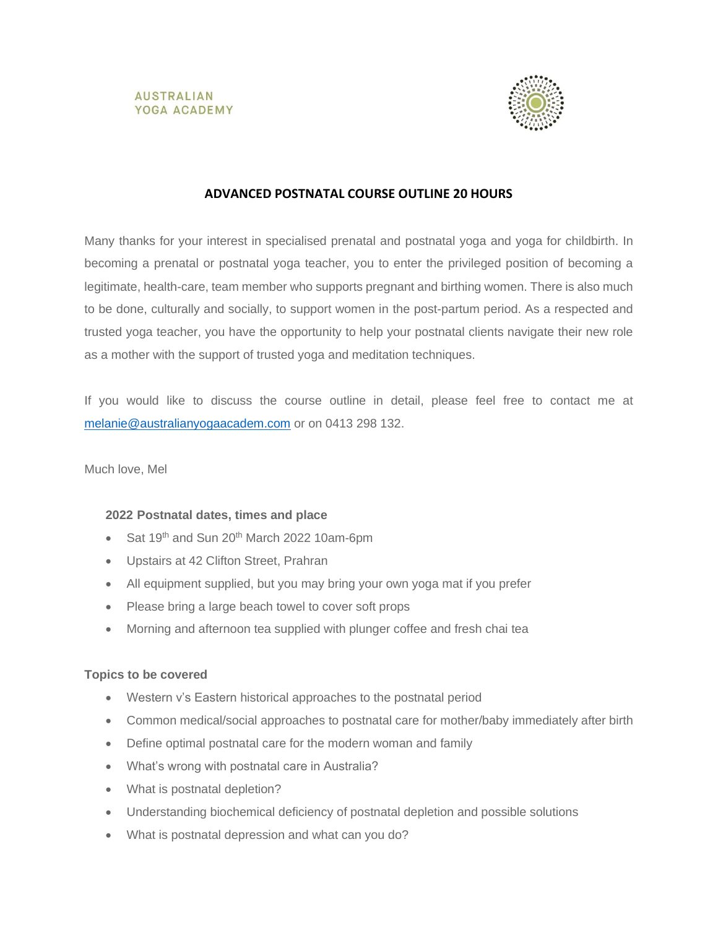



# **ADVANCED POSTNATAL COURSE OUTLINE 20 HOURS**

Many thanks for your interest in specialised prenatal and postnatal yoga and yoga for childbirth. In becoming a prenatal or postnatal yoga teacher, you to enter the privileged position of becoming a legitimate, health-care, team member who supports pregnant and birthing women. There is also much to be done, culturally and socially, to support women in the post-partum period. As a respected and trusted yoga teacher, you have the opportunity to help your postnatal clients navigate their new role as a mother with the support of trusted yoga and meditation techniques.

If you would like to discuss the course outline in detail, please feel free to contact me at [melanie@australianyogaacadem.com](mailto:melanie@australianyogaacadem.com) or on 0413 298 132.

Much love, Mel

## **2022 Postnatal dates, times and place**

- Sat 19<sup>th</sup> and Sun 20<sup>th</sup> March 2022 10am-6pm
- Upstairs at 42 Clifton Street, Prahran
- All equipment supplied, but you may bring your own yoga mat if you prefer
- Please bring a large beach towel to cover soft props
- Morning and afternoon tea supplied with plunger coffee and fresh chai tea

#### **Topics to be covered**

- Western v's Eastern historical approaches to the postnatal period
- Common medical/social approaches to postnatal care for mother/baby immediately after birth
- Define optimal postnatal care for the modern woman and family
- What's wrong with postnatal care in Australia?
- What is postnatal depletion?
- Understanding biochemical deficiency of postnatal depletion and possible solutions
- What is postnatal depression and what can you do?